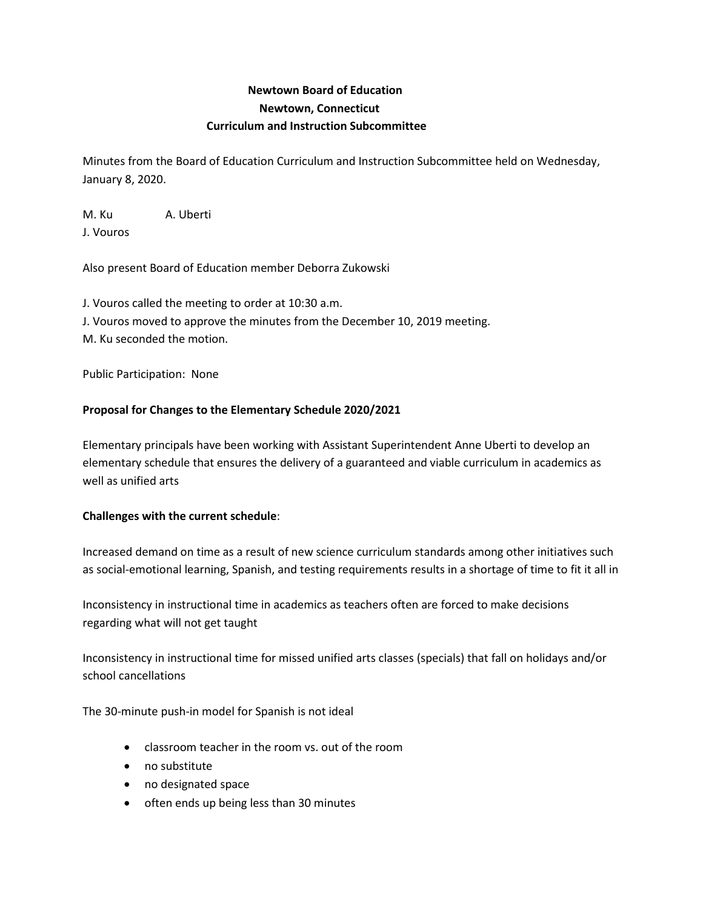# **Newtown Board of Education Newtown, Connecticut Curriculum and Instruction Subcommittee**

Minutes from the Board of Education Curriculum and Instruction Subcommittee held on Wednesday, January 8, 2020.

M. Ku A. Uberti

J. Vouros

Also present Board of Education member Deborra Zukowski

J. Vouros called the meeting to order at 10:30 a.m. J. Vouros moved to approve the minutes from the December 10, 2019 meeting. M. Ku seconded the motion.

Public Participation: None

# **Proposal for Changes to the Elementary Schedule 2020/2021**

Elementary principals have been working with Assistant Superintendent Anne Uberti to develop an elementary schedule that ensures the delivery of a guaranteed and viable curriculum in academics as well as unified arts

# **Challenges with the current schedule**:

Increased demand on time as a result of new science curriculum standards among other initiatives such as social-emotional learning, Spanish, and testing requirements results in a shortage of time to fit it all in

Inconsistency in instructional time in academics as teachers often are forced to make decisions regarding what will not get taught

Inconsistency in instructional time for missed unified arts classes (specials) that fall on holidays and/or school cancellations

The 30-minute push-in model for Spanish is not ideal

- classroom teacher in the room vs. out of the room
- no substitute
- no designated space
- often ends up being less than 30 minutes